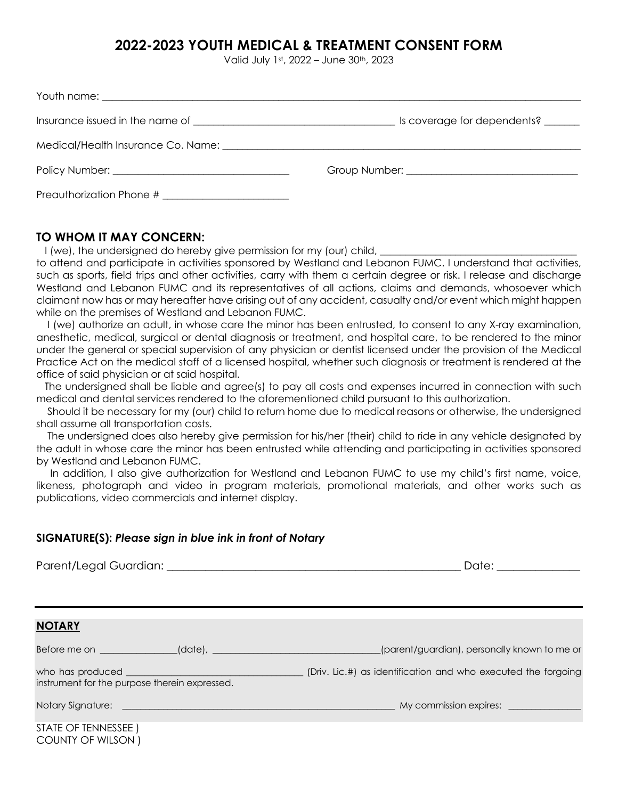## **2022-2023 YOUTH MEDICAL & TREATMENT CONSENT FORM**

Valid July 1st, 2022 – June 30th, 2023

|                                                                                                                                                                                                                                | Is coverage for dependents?                                                                                    |
|--------------------------------------------------------------------------------------------------------------------------------------------------------------------------------------------------------------------------------|----------------------------------------------------------------------------------------------------------------|
| Medical/Health Insurance Co. Name: complete the contract of the contract of the contract of the contract of the contract of the contract of the contract of the contract of the contract of the contract of the contract of th |                                                                                                                |
|                                                                                                                                                                                                                                | Group Number: The Company of the Company of the Company of the Company of the Company of the Company of the Co |
| Preauthorization Phone #                                                                                                                                                                                                       |                                                                                                                |

**TO WHOM IT MAY CONCERN:** 

I (we), the undersigned do hereby give permission for my (our) child,

to attend and participate in activities sponsored by Westland and Lebanon FUMC. I understand that activities, such as sports, field trips and other activities, carry with them a certain degree or risk. I release and discharge Westland and Lebanon FUMC and its representatives of all actions, claims and demands, whosoever which claimant now has or may hereafter have arising out of any accident, casualty and/or event which might happen while on the premises of Westland and Lebanon FUMC.

 I (we) authorize an adult, in whose care the minor has been entrusted, to consent to any X-ray examination, anesthetic, medical, surgical or dental diagnosis or treatment, and hospital care, to be rendered to the minor under the general or special supervision of any physician or dentist licensed under the provision of the Medical Practice Act on the medical staff of a licensed hospital, whether such diagnosis or treatment is rendered at the office of said physician or at said hospital.

 The undersigned shall be liable and agree(s) to pay all costs and expenses incurred in connection with such medical and dental services rendered to the aforementioned child pursuant to this authorization.

 Should it be necessary for my (our) child to return home due to medical reasons or otherwise, the undersigned shall assume all transportation costs.

 The undersigned does also hereby give permission for his/her (their) child to ride in any vehicle designated by the adult in whose care the minor has been entrusted while attending and participating in activities sponsored by Westland and Lebanon FUMC.

In addition, I also give authorization for Westland and Lebanon FUMC to use my child's first name, voice, likeness, photograph and video in program materials, promotional materials, and other works such as publications, video commercials and internet display.

## **SIGNATURE(S):** *Please sign in blue ink in front of Notary*

|                                               | Date: ______________                                                                                    |
|-----------------------------------------------|---------------------------------------------------------------------------------------------------------|
| <b>NOTARY</b>                                 |                                                                                                         |
|                                               | Before me on ____________(date), __________________________(parent/guardian), personally known to me or |
| instrument for the purpose therein expressed. |                                                                                                         |
|                                               |                                                                                                         |
| STATE OF TENNESSEE)<br>COUNTY OF WILSON)      |                                                                                                         |